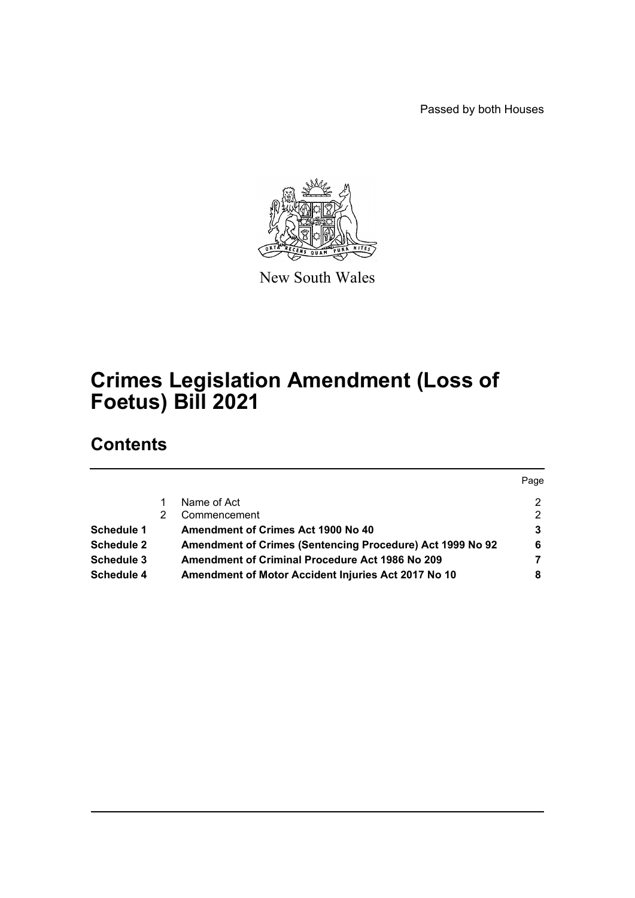Passed by both Houses



New South Wales

# **Crimes Legislation Amendment (Loss of Foetus) Bill 2021**

## **Contents**

|                   |                                                           | Page |
|-------------------|-----------------------------------------------------------|------|
|                   | Name of Act                                               | 2    |
|                   | Commencement                                              | 2    |
| <b>Schedule 1</b> | <b>Amendment of Crimes Act 1900 No 40</b>                 | 3    |
| <b>Schedule 2</b> | Amendment of Crimes (Sentencing Procedure) Act 1999 No 92 | 6    |
| Schedule 3        | <b>Amendment of Criminal Procedure Act 1986 No 209</b>    | 7    |
| Schedule 4        | Amendment of Motor Accident Injuries Act 2017 No 10       | 8    |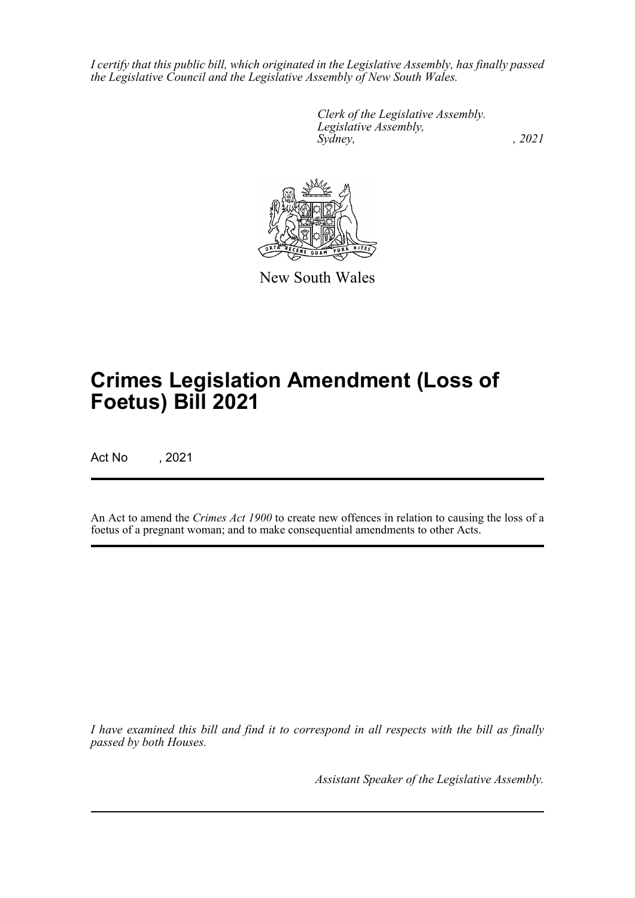*I certify that this public bill, which originated in the Legislative Assembly, has finally passed the Legislative Council and the Legislative Assembly of New South Wales.*

> *Clerk of the Legislative Assembly. Legislative Assembly, Sydney, , 2021*



New South Wales

# **Crimes Legislation Amendment (Loss of Foetus) Bill 2021**

Act No , 2021

An Act to amend the *Crimes Act 1900* to create new offences in relation to causing the loss of a foetus of a pregnant woman; and to make consequential amendments to other Acts.

*I have examined this bill and find it to correspond in all respects with the bill as finally passed by both Houses.*

*Assistant Speaker of the Legislative Assembly.*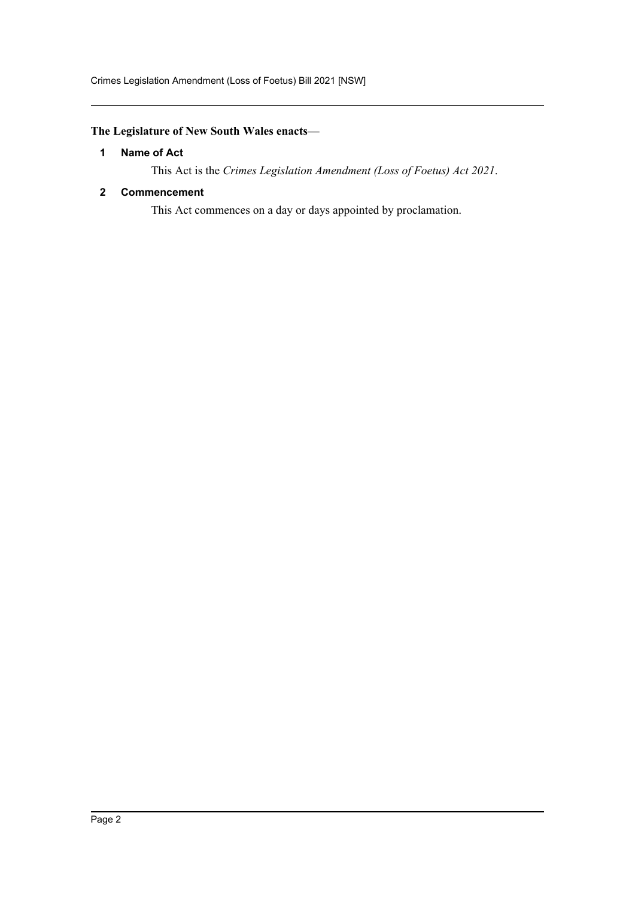Crimes Legislation Amendment (Loss of Foetus) Bill 2021 [NSW]

### <span id="page-2-0"></span>**The Legislature of New South Wales enacts—**

#### **1 Name of Act**

This Act is the *Crimes Legislation Amendment (Loss of Foetus) Act 2021*.

#### <span id="page-2-1"></span>**2 Commencement**

This Act commences on a day or days appointed by proclamation.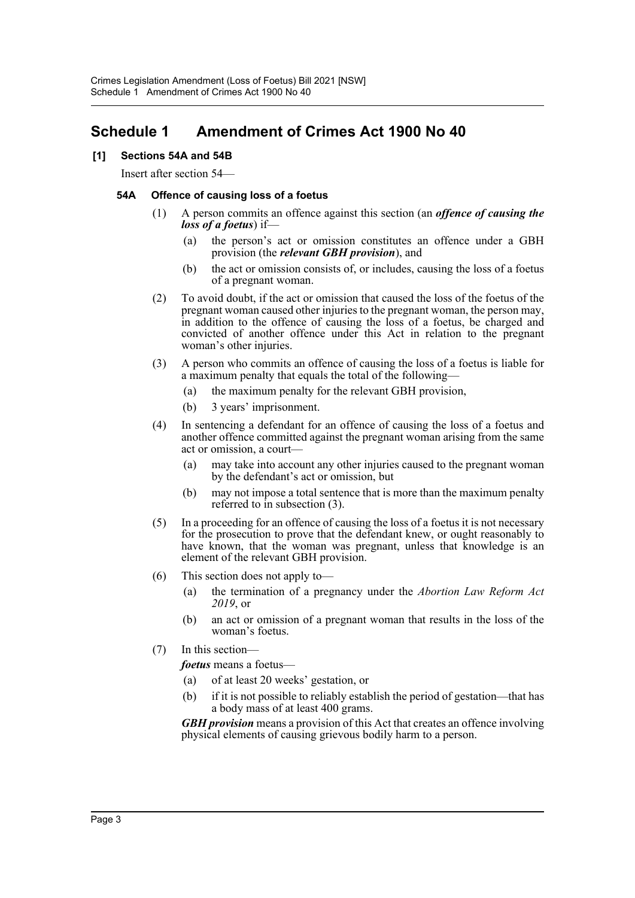## <span id="page-3-0"></span>**Schedule 1 Amendment of Crimes Act 1900 No 40**

#### **[1] Sections 54A and 54B**

Insert after section 54—

#### **54A Offence of causing loss of a foetus**

- (1) A person commits an offence against this section (an *offence of causing the loss of a foetus*) if—
	- (a) the person's act or omission constitutes an offence under a GBH provision (the *relevant GBH provision*), and
	- (b) the act or omission consists of, or includes, causing the loss of a foetus of a pregnant woman.
- (2) To avoid doubt, if the act or omission that caused the loss of the foetus of the pregnant woman caused other injuries to the pregnant woman, the person may, in addition to the offence of causing the loss of a foetus, be charged and convicted of another offence under this Act in relation to the pregnant woman's other injuries.
- (3) A person who commits an offence of causing the loss of a foetus is liable for a maximum penalty that equals the total of the following—
	- (a) the maximum penalty for the relevant GBH provision,
	- (b) 3 years' imprisonment.
- (4) In sentencing a defendant for an offence of causing the loss of a foetus and another offence committed against the pregnant woman arising from the same act or omission, a court—
	- (a) may take into account any other injuries caused to the pregnant woman by the defendant's act or omission, but
	- (b) may not impose a total sentence that is more than the maximum penalty referred to in subsection (3).
- (5) In a proceeding for an offence of causing the loss of a foetus it is not necessary for the prosecution to prove that the defendant knew, or ought reasonably to have known, that the woman was pregnant, unless that knowledge is an element of the relevant GBH provision.
- (6) This section does not apply to—
	- (a) the termination of a pregnancy under the *Abortion Law Reform Act 2019*, or
	- (b) an act or omission of a pregnant woman that results in the loss of the woman's foetus.
- (7) In this section—

*foetus* means a foetus—

- (a) of at least 20 weeks' gestation, or
- (b) if it is not possible to reliably establish the period of gestation—that has a body mass of at least 400 grams.

*GBH provision* means a provision of this Act that creates an offence involving physical elements of causing grievous bodily harm to a person.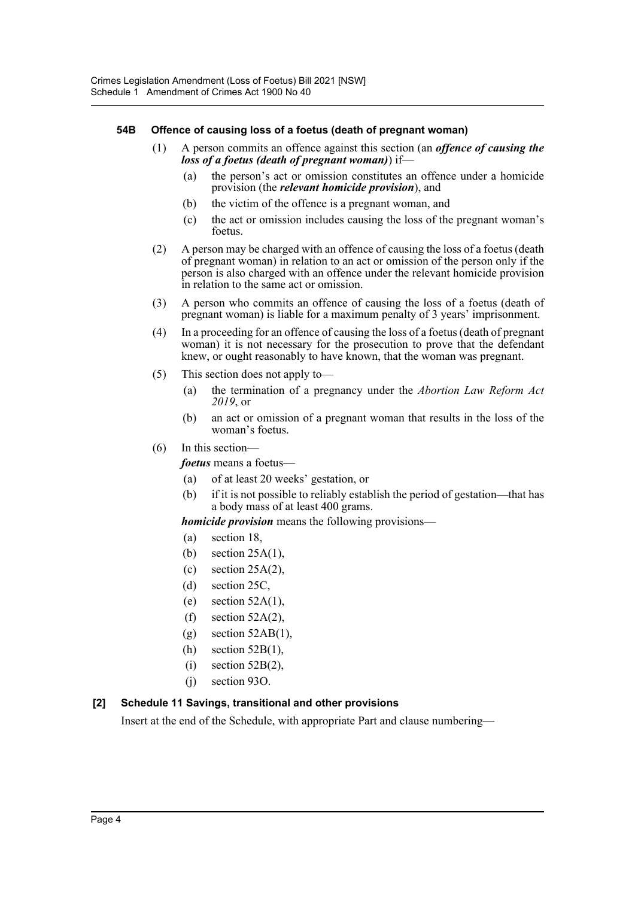#### **54B Offence of causing loss of a foetus (death of pregnant woman)**

- (1) A person commits an offence against this section (an *offence of causing the loss of a foetus (death of pregnant woman)*) if—
	- (a) the person's act or omission constitutes an offence under a homicide provision (the *relevant homicide provision*), and
	- (b) the victim of the offence is a pregnant woman, and
	- (c) the act or omission includes causing the loss of the pregnant woman's foetus.
- (2) A person may be charged with an offence of causing the loss of a foetus (death of pregnant woman) in relation to an act or omission of the person only if the person is also charged with an offence under the relevant homicide provision in relation to the same act or omission.
- (3) A person who commits an offence of causing the loss of a foetus (death of pregnant woman) is liable for a maximum penalty of 3 years' imprisonment.
- (4) In a proceeding for an offence of causing the loss of a foetus (death of pregnant woman) it is not necessary for the prosecution to prove that the defendant knew, or ought reasonably to have known, that the woman was pregnant.
- (5) This section does not apply to—
	- (a) the termination of a pregnancy under the *Abortion Law Reform Act 2019*, or
	- (b) an act or omission of a pregnant woman that results in the loss of the woman's foetus.

#### (6) In this section—

*foetus* means a foetus—

- (a) of at least 20 weeks' gestation, or
- (b) if it is not possible to reliably establish the period of gestation—that has a body mass of at least 400 grams.

#### *homicide provision* means the following provisions—

- (a) section 18,
- (b) section 25A(1),
- (c) section 25A(2),
- (d) section 25C,
- (e) section  $52A(1)$ ,
- (f) section  $52A(2)$ ,
- $(g)$  section 52AB(1),
- (h) section 52B(1),
- $(i)$  section 52B $(2)$ ,
- (j) section 93O.

#### **[2] Schedule 11 Savings, transitional and other provisions**

Insert at the end of the Schedule, with appropriate Part and clause numbering—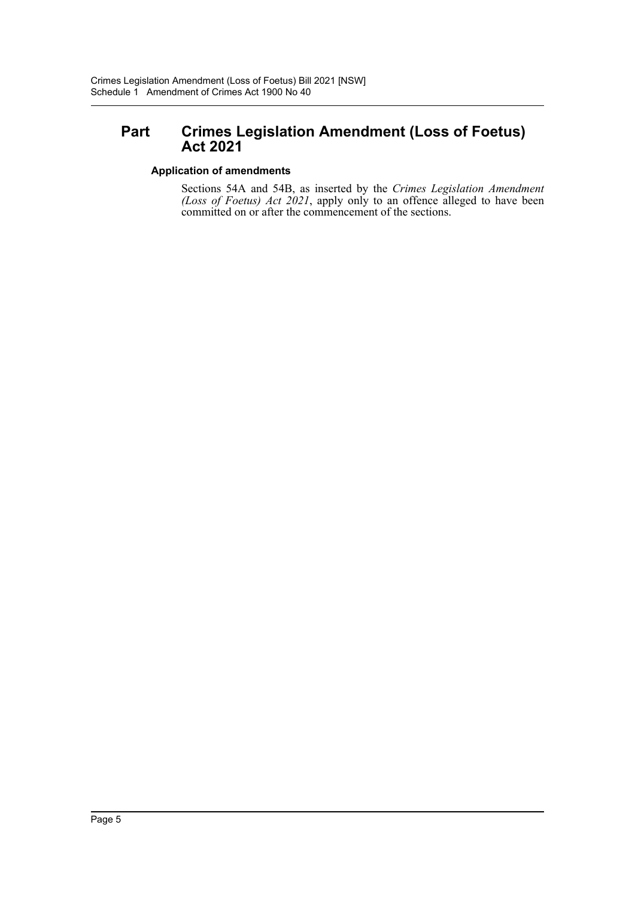## **Part Crimes Legislation Amendment (Loss of Foetus) Act 2021**

#### **Application of amendments**

Sections 54A and 54B, as inserted by the *Crimes Legislation Amendment (Loss of Foetus) Act 2021*, apply only to an offence alleged to have been committed on or after the commencement of the sections.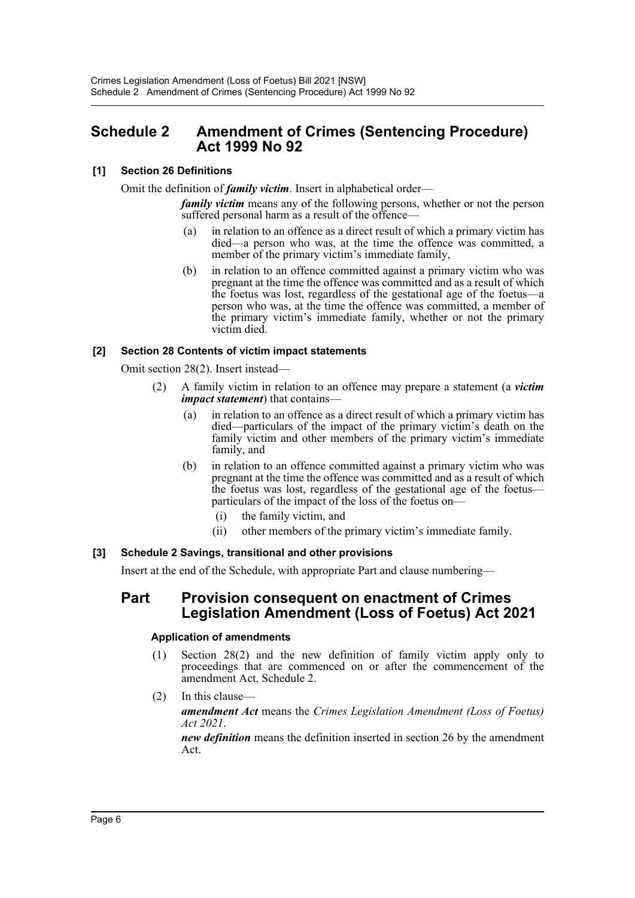## <span id="page-6-0"></span>**Schedule 2 Amendment of Crimes (Sentencing Procedure) Act 1999 No 92**

#### **[1] Section 26 Definitions**

Omit the definition of *family victim*. Insert in alphabetical order—

*family victim* means any of the following persons, whether or not the person suffered personal harm as a result of the offence-

- (a) in relation to an offence as a direct result of which a primary victim has died—a person who was, at the time the offence was committed, a member of the primary victim's immediate family,
- (b) in relation to an offence committed against a primary victim who was pregnant at the time the offence was committed and as a result of which the foetus was lost, regardless of the gestational age of the foetus—a person who was, at the time the offence was committed, a member of the primary victim's immediate family, whether or not the primary victim died.

#### **[2] Section 28 Contents of victim impact statements**

Omit section 28(2). Insert instead—

- (2) A family victim in relation to an offence may prepare a statement (a *victim impact statement*) that contains—
	- (a) in relation to an offence as a direct result of which a primary victim has died—particulars of the impact of the primary victim's death on the family victim and other members of the primary victim's immediate family, and
	- (b) in relation to an offence committed against a primary victim who was pregnant at the time the offence was committed and as a result of which the foetus was lost, regardless of the gestational age of the foetus particulars of the impact of the loss of the foetus on—
		- (i) the family victim, and
		- (ii) other members of the primary victim's immediate family.

#### **[3] Schedule 2 Savings, transitional and other provisions**

Insert at the end of the Schedule, with appropriate Part and clause numbering—

### **Part Provision consequent on enactment of Crimes Legislation Amendment (Loss of Foetus) Act 2021**

#### **Application of amendments**

- (1) Section 28(2) and the new definition of family victim apply only to proceedings that are commenced on or after the commencement of the amendment Act, Schedule 2.
- (2) In this clause—

*amendment Act* means the *Crimes Legislation Amendment (Loss of Foetus) Act 2021*.

*new definition* means the definition inserted in section 26 by the amendment Act.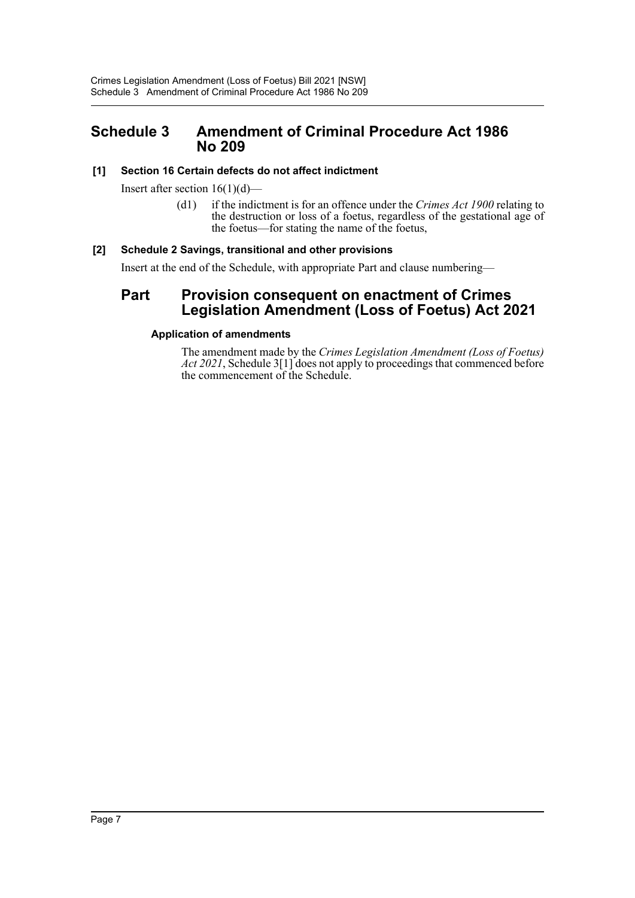## <span id="page-7-0"></span>**Schedule 3 Amendment of Criminal Procedure Act 1986 No 209**

#### **[1] Section 16 Certain defects do not affect indictment**

Insert after section  $16(1)(d)$ —

(d1) if the indictment is for an offence under the *Crimes Act 1900* relating to the destruction or loss of a foetus, regardless of the gestational age of the foetus—for stating the name of the foetus,

#### **[2] Schedule 2 Savings, transitional and other provisions**

Insert at the end of the Schedule, with appropriate Part and clause numbering—

### **Part Provision consequent on enactment of Crimes Legislation Amendment (Loss of Foetus) Act 2021**

#### **Application of amendments**

The amendment made by the *Crimes Legislation Amendment (Loss of Foetus) Act 2021*, Schedule 3[1] does not apply to proceedings that commenced before the commencement of the Schedule.